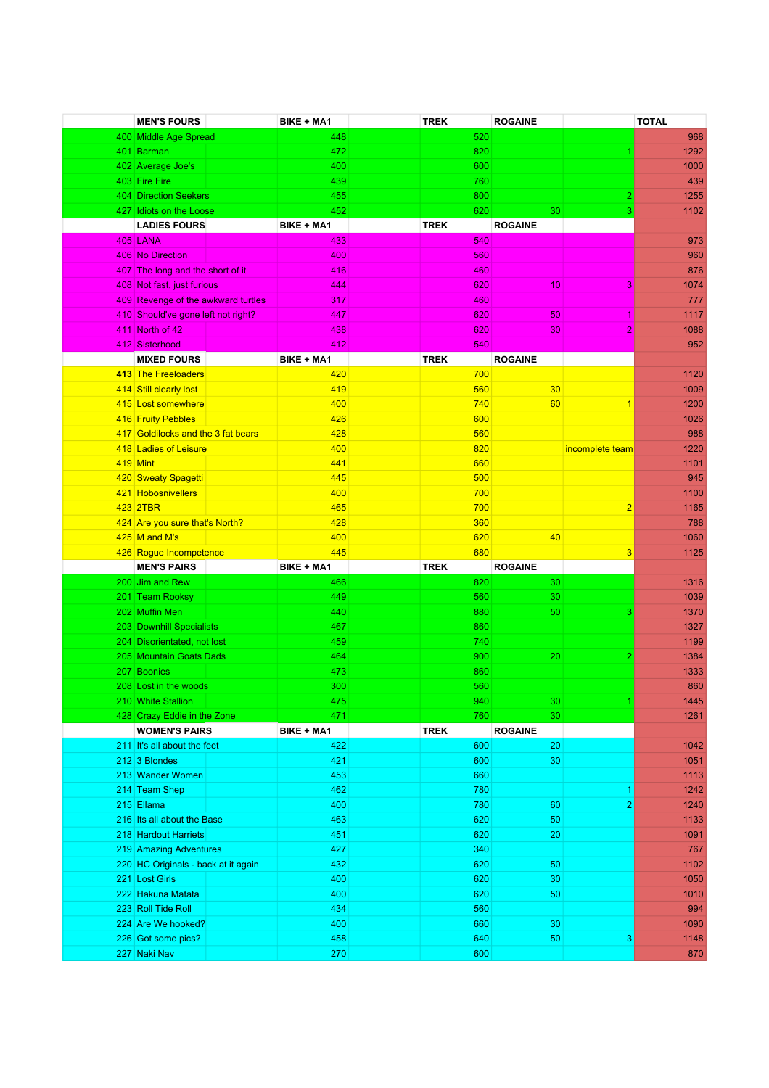| <b>MEN'S FOURS</b>                  | BIKE + MA1        | <b>TREK</b> | <b>ROGAINE</b> |                 | <b>TOTAL</b> |
|-------------------------------------|-------------------|-------------|----------------|-----------------|--------------|
| 400 Middle Age Spread               | 448               | 520         |                |                 | 968          |
| 401 Barman                          | 472               | 820         |                |                 | 1292         |
| 402 Average Joe's                   | 400               | 600         |                |                 | 1000         |
| 403 Fire Fire                       | 439               | 760         |                |                 | 439          |
| 404 Direction Seekers               | 455               | 800         |                | $\overline{c}$  | 1255         |
| 427 Idiots on the Loose             | 452               | 620         | 30             | 3               | 1102         |
| <b>LADIES FOURS</b>                 | <b>BIKE + MA1</b> | <b>TREK</b> | <b>ROGAINE</b> |                 |              |
| <b>405 LANA</b>                     | 433               | 540         |                |                 | 973          |
| 406 No Direction                    | 400               | 560         |                |                 | 960          |
| 407 The long and the short of it    | 416               | 460         |                |                 | 876          |
| 408 Not fast, just furious          | 444               | 620         | 10             | 3               | 1074         |
| 409 Revenge of the awkward turtles  | 317               | 460         |                |                 | 777          |
| 410 Should've gone left not right?  | 447               | 620         | 50             | 1               | 1117         |
| 411 North of 42                     | 438               | 620         | 30             | $\overline{2}$  | 1088         |
| 412 Sisterhood                      | 412               | 540         |                |                 | 952          |
| <b>MIXED FOURS</b>                  | <b>BIKE + MA1</b> | <b>TREK</b> | <b>ROGAINE</b> |                 |              |
| 413 The Freeloaders                 | 420               | 700         |                |                 | 1120         |
| 414 Still clearly lost              | 419               | 560         | 30             |                 | 1009         |
| 415 Lost somewhere                  | 400               | 740         | 60             | $\mathbf{1}$    | 1200         |
| 416 Fruity Pebbles                  | 426               | 600         |                |                 | 1026         |
| 417 Goldilocks and the 3 fat bears  | 428               | 560         |                |                 | 988          |
| 418 Ladies of Leisure               | 400               | 820         |                | incomplete team | 1220         |
| <b>419 Mint</b>                     | 441               | 660         |                |                 | 1101         |
| 420 Sweaty Spagetti                 | 445               | 500         |                |                 | 945          |
| 421 Hobosnivellers                  | 400               | 700         |                |                 | 1100         |
| 423 2TBR                            | 465               | 700         |                | $\overline{2}$  | 1165         |
| 424 Are you sure that's North?      | 428               | 360         |                |                 | 788          |
| 425 M and M's                       | 400               | 620         | 40             |                 | 1060         |
| 426 Rogue Incompetence              | 445               | 680         |                | 3               | 1125         |
| <b>MEN'S PAIRS</b>                  | BIKE + MA1        | <b>TREK</b> | <b>ROGAINE</b> |                 |              |
| 200 Jim and Rew                     | 466               | 820         | 30             |                 | 1316         |
| 201 Team Rooksy                     | 449               | 560         | 30             |                 | 1039         |
| 202 Muffin Men                      | 440               | 880         | 50             | 3               | 1370         |
| 203 Downhill Specialists            | 467               | 860         |                |                 | 1327         |
| 204 Disorientated, not lost         | 459               | 740         |                |                 | 1199         |
| 205 Mountain Goats Dads             | 464               | 900         | 20             | $\overline{2}$  | 1384         |
| 207 Boonies                         | 473               | 860         |                |                 | 1333         |
| 208 Lost in the woods               | 300               | 560         |                |                 | 860          |
| 210 White Stallion                  | 475               | 940         | 30             |                 | 1445         |
| 428 Crazy Eddie in the Zone         | 471               | 760         | 30             |                 | 1261         |
| <b>WOMEN'S PAIRS</b>                | BIKE + MA1        | <b>TREK</b> | <b>ROGAINE</b> |                 |              |
| 211 It's all about the feet         | 422               | 600         | 20             |                 | 1042         |
| 212 3 Blondes                       | 421               | 600         | 30             |                 | 1051         |
| 213 Wander Women                    | 453               | 660         |                |                 | 1113         |
| 214 Team Shep                       | 462               | 780         |                |                 | 1242         |
| 215 Ellama                          | 400               | 780         | 60             | 2               | 1240         |
| 216 Its all about the Base          | 463               | 620         | 50             |                 | 1133         |
| 218 Hardout Harriets                | 451               | 620         | 20             |                 | 1091         |
| 219 Amazing Adventures              | 427               | 340         |                |                 | 767          |
| 220 HC Originals - back at it again | 432               | 620         | 50             |                 | 1102         |
| 221 Lost Girls                      | 400               | 620         | 30             |                 | 1050         |
| 222 Hakuna Matata                   | 400               | 620         | 50             |                 | 1010         |
| 223 Roll Tide Roll                  | 434               | 560         |                |                 | 994          |
| 224 Are We hooked?                  | 400               | 660         | 30             |                 | 1090         |
| 226 Got some pics?                  | 458               | 640         | 50             | 3               | 1148         |
| 227 Naki Nav                        | 270               | 600         |                |                 | 870          |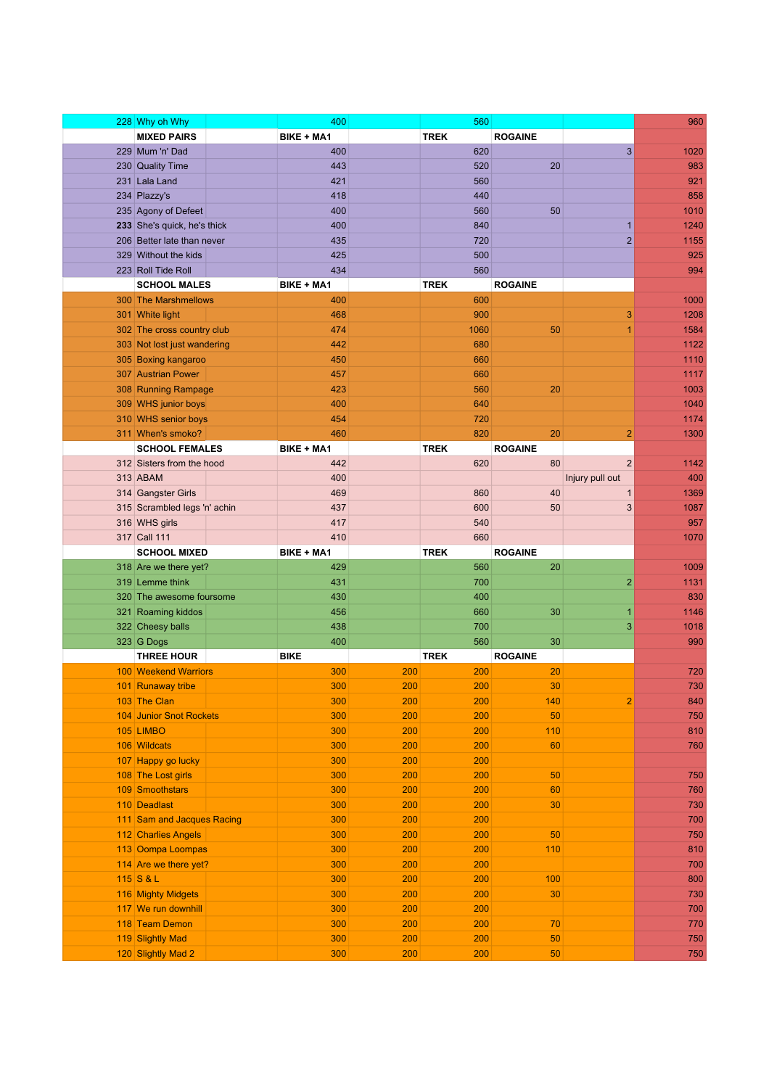| 228 Why oh Why               | 400               |     | 560         |                |                 | 960  |
|------------------------------|-------------------|-----|-------------|----------------|-----------------|------|
| <b>MIXED PAIRS</b>           | BIKE + MA1        |     | <b>TREK</b> | <b>ROGAINE</b> |                 |      |
| 229 Mum 'n' Dad              | 400               |     | 620         |                | 3               | 1020 |
| 230 Quality Time             | 443               |     | 520         | 20             |                 | 983  |
| 231 Lala Land                | 421               |     | 560         |                |                 | 921  |
| 234 Plazzy's                 | 418               |     | 440         |                |                 | 858  |
| 235 Agony of Defeet          | 400               |     | 560         | 50             |                 | 1010 |
| 233 She's quick, he's thick  | 400               |     | 840         |                | $\mathbf{1}$    | 1240 |
| 206 Better late than never   | 435               |     | 720         |                | $\overline{2}$  | 1155 |
| 329 Without the kids         | 425               |     | 500         |                |                 | 925  |
| 223 Roll Tide Roll           | 434               |     | 560         |                |                 | 994  |
| <b>SCHOOL MALES</b>          | <b>BIKE + MA1</b> |     | <b>TREK</b> | <b>ROGAINE</b> |                 |      |
| 300 The Marshmellows         | 400               |     | 600         |                |                 | 1000 |
| 301 White light              | 468               |     | 900         |                | 3               | 1208 |
| 302 The cross country club   | 474               |     | 1060        | 50             | 1               | 1584 |
| 303 Not lost just wandering  | 442               |     | 680         |                |                 | 1122 |
| 305 Boxing kangaroo          | 450               |     | 660         |                |                 | 1110 |
| 307 Austrian Power           | 457               |     | 660         |                |                 | 1117 |
| 308 Running Rampage          | 423               |     | 560         | 20             |                 | 1003 |
| 309 WHS junior boys          | 400               |     | 640         |                |                 | 1040 |
| 310 WHS senior boys          | 454               |     | 720         |                |                 | 1174 |
| 311 When's smoko?            | 460               |     | 820         | 20             | 2               | 1300 |
| <b>SCHOOL FEMALES</b>        | BIKE + MA1        |     | <b>TREK</b> | <b>ROGAINE</b> |                 |      |
| 312 Sisters from the hood    | 442               |     | 620         | 80             | 2               | 1142 |
| 313 ABAM                     | 400               |     |             |                | Injury pull out | 400  |
| 314 Gangster Girls           | 469               |     | 860         | 40             | $\mathbf{1}$    | 1369 |
| 315 Scrambled legs 'n' achin | 437               |     | 600         | 50             | 3               | 1087 |
| 316 WHS girls                | 417               |     | 540         |                |                 | 957  |
| 317 Call 111                 | 410               |     | 660         |                |                 | 1070 |
| <b>SCHOOL MIXED</b>          | <b>BIKE + MA1</b> |     | <b>TREK</b> | <b>ROGAINE</b> |                 |      |
| 318 Are we there yet?        | 429               |     | 560         | 20             |                 | 1009 |
| 319 Lemme think              | 431               |     | 700         |                | $\overline{2}$  | 1131 |
| 320 The awesome foursome     | 430               |     | 400         |                |                 | 830  |
| 321 Roaming kiddos           | 456               |     | 660         | 30             | $\mathbf{1}$    | 1146 |
| 322 Cheesy balls             | 438               |     | 700         |                | 3               | 1018 |
| 323 G Dogs                   | 400               |     | 560         | 30             |                 | 990  |
| <b>THREE HOUR</b>            | <b>BIKE</b>       |     | <b>TREK</b> | <b>ROGAINE</b> |                 |      |
| <b>100 Weekend Warriors</b>  | 300               | 200 | 200         | 20             |                 | 720  |
| 101 Runaway tribe            | 300               | 200 | 200         | 30             |                 | 730  |
| 103 The Clan                 | 300               | 200 | 200         | 140            | $\overline{2}$  | 840  |
| 104 Junior Snot Rockets      | 300               | 200 | 200         | 50             |                 | 750  |
| 105 LIMBO                    | 300               | 200 | 200         | 110            |                 | 810  |
| 106 Wildcats                 | 300               | 200 | 200         | 60             |                 | 760  |
| 107 Happy go lucky           | 300               | 200 | 200         |                |                 |      |
| 108 The Lost girls           | 300               | 200 | 200         | 50             |                 | 750  |
| 109 Smoothstars              | 300               | 200 | 200         | 60             |                 | 760  |
| 110 Deadlast                 | 300               | 200 | 200         | 30             |                 | 730  |
| 111 Sam and Jacques Racing   | 300               | 200 | 200         |                |                 | 700  |
| 112 Charlies Angels          | 300               | 200 | 200         | 50             |                 | 750  |
| 113 Oompa Loompas            | 300               | 200 | 200         | 110            |                 | 810  |
| 114 Are we there yet?        | 300               | 200 | 200         |                |                 | 700  |
| 115 S & L                    | 300               | 200 | 200         | 100            |                 | 800  |
| 116 Mighty Midgets           | 300               | 200 | 200         | 30             |                 | 730  |
| 117 We run downhill          | 300               | 200 | 200         |                |                 | 700  |
| 118 Team Demon               | 300               | 200 | 200         | 70             |                 | 770  |
| 119 Slightly Mad             | 300               | 200 | 200         | 50             |                 | 750  |
| 120 Slightly Mad 2           | 300               | 200 | 200         | 50             |                 | 750  |